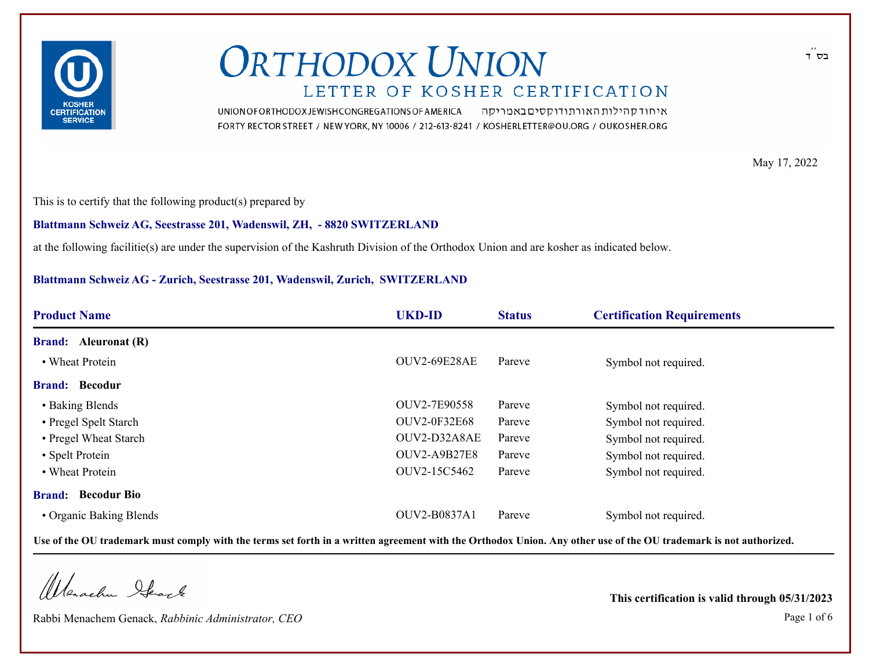

איחוד קהילות האורתודוקסים באמריקה UNION OF ORTHODOX JEWISH CONGREGATIONS OF AMERICA FORTY RECTOR STREET / NEW YORK, NY 10006 / 212-613-8241 / KOSHERLETTER@OU.ORG / OUKOSHER.ORG

May 17, 2022

This is to certify that the following product(s) prepared by

**Blattmann Schweiz AG, Seestrasse 201, Wadenswil, ZH, - 8820 SWITZERLAND**

at the following facilitie(s) are under the supervision of the Kashruth Division of the Orthodox Union and are kosher as indicated below.

#### **Blattmann Schweiz AG - Zurich, Seestrasse 201, Wadenswil, Zurich, SWITZERLAND**

| <b>Product Name</b>         | <b>UKD-ID</b>       | <b>Status</b> | <b>Certification Requirements</b> |  |
|-----------------------------|---------------------|---------------|-----------------------------------|--|
| <b>Brand:</b> Aleuronat (R) |                     |               |                                   |  |
| • Wheat Protein             | OUV2-69E28AE        | Pareve        | Symbol not required.              |  |
| <b>Brand: Becodur</b>       |                     |               |                                   |  |
| • Baking Blends             | OUV2-7E90558        | Pareve        | Symbol not required.              |  |
| • Pregel Spelt Starch       | <b>OUV2-0F32E68</b> | Pareve        | Symbol not required.              |  |
| • Pregel Wheat Starch       | OUV2-D32A8AE        | Pareve        | Symbol not required.              |  |
| • Spelt Protein             | OUV2-A9B27E8        | Pareve        | Symbol not required.              |  |
| • Wheat Protein             | OUV2-15C5462        | Pareve        | Symbol not required.              |  |
| <b>Brand:</b> Becodur Bio   |                     |               |                                   |  |
| • Organic Baking Blends     | OUV2-B0837A1        | Pareve        | Symbol not required.              |  |

**Use of the OU trademark must comply with the terms set forth in a written agreement with the Orthodox Union. Any other use of the OU trademark is not authorized.**

Wenachen Heack

Rabbi Menachem Genack, *Rabbinic Administrator, CEO* Page 1 of 6

**This certification is valid through 05/31/2023**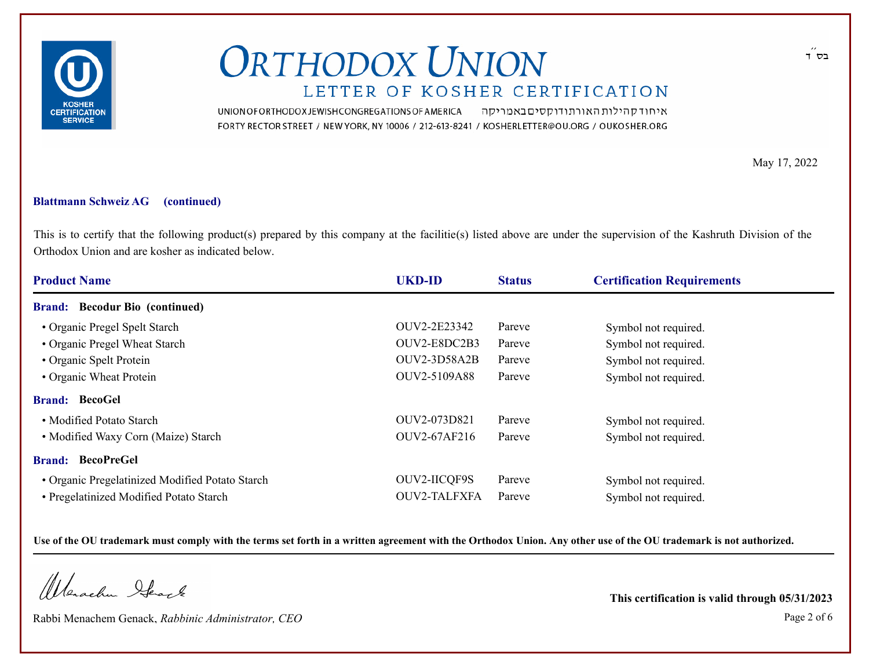

UNION OF ORTHODOX JEWISH CONGREGATIONS OF AMERICA איחוד קהילות האורתודוקסים באמריקה FORTY RECTOR STREET / NEW YORK, NY 10006 / 212-613-8241 / KOSHERLETTER@OU.ORG / OUKOSHER.ORG

May 17, 2022

#### **Blattmann Schweiz AG (continued)**

This is to certify that the following product(s) prepared by this company at the facilitie(s) listed above are under the supervision of the Kashruth Division of the Orthodox Union and are kosher as indicated below.

| <b>Product Name</b>                             | <b>UKD-ID</b>       | <b>Status</b> | <b>Certification Requirements</b> |  |
|-------------------------------------------------|---------------------|---------------|-----------------------------------|--|
| <b>Brand:</b> Becodur Bio (continued)           |                     |               |                                   |  |
| • Organic Pregel Spelt Starch                   | OUV2-2E23342        | Pareve        | Symbol not required.              |  |
| • Organic Pregel Wheat Starch                   | OUV2-E8DC2B3        | Pareve        | Symbol not required.              |  |
| • Organic Spelt Protein                         | OUV2-3D58A2B        | Pareve        | Symbol not required.              |  |
| • Organic Wheat Protein                         | OUV2-5109A88        | Pareve        | Symbol not required.              |  |
| <b>Brand: BecoGel</b>                           |                     |               |                                   |  |
| • Modified Potato Starch                        | OUV2-073D821        | Pareve        | Symbol not required.              |  |
| • Modified Waxy Corn (Maize) Starch             | OUV2-67AF216        | Pareve        | Symbol not required.              |  |
| <b>Brand: BecoPreGel</b>                        |                     |               |                                   |  |
| • Organic Pregelatinized Modified Potato Starch | <b>OUV2-IICQF9S</b> | Pareve        | Symbol not required.              |  |
| • Pregelatinized Modified Potato Starch         | OUV2-TALFXFA        | Pareve        | Symbol not required.              |  |

**Use of the OU trademark must comply with the terms set forth in a written agreement with the Orthodox Union. Any other use of the OU trademark is not authorized.**

Warachen Stack

Rabbi Menachem Genack, *Rabbinic Administrator, CEO* Page 2 of 6

**This certification is valid through 05/31/2023**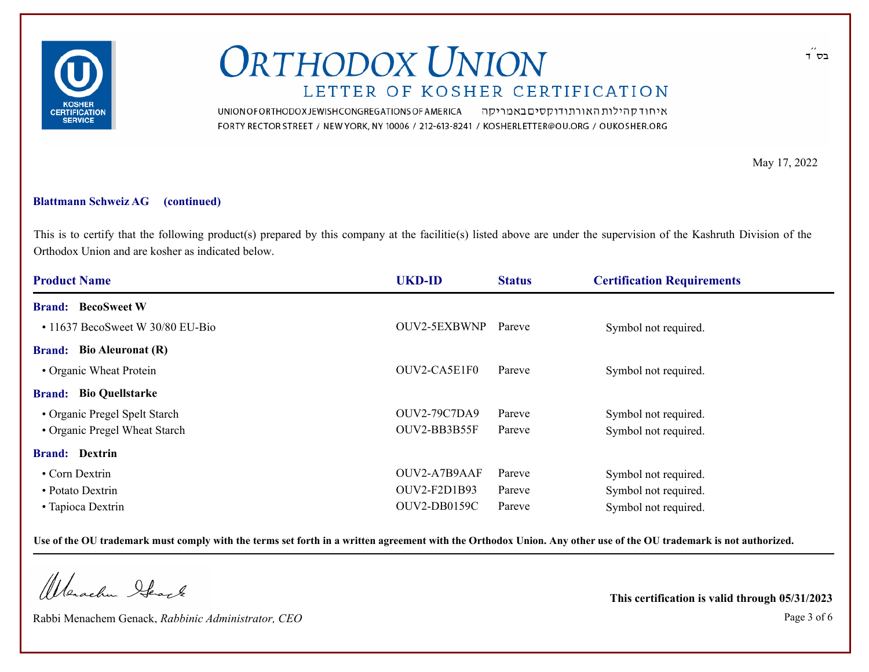

UNION OF ORTHODOX JEWISH CONGREGATIONS OF AMERICA איחוד קהילות האורתודוקסים באמריקה FORTY RECTOR STREET / NEW YORK, NY 10006 / 212-613-8241 / KOSHERLETTER@OU.ORG / OUKOSHER.ORG

May 17, 2022

#### **Blattmann Schweiz AG (continued)**

This is to certify that the following product(s) prepared by this company at the facilitie(s) listed above are under the supervision of the Kashruth Division of the Orthodox Union and are kosher as indicated below.

| <b>Product Name</b>                    | <b>UKD-ID</b>       | <b>Status</b> | <b>Certification Requirements</b> |  |
|----------------------------------------|---------------------|---------------|-----------------------------------|--|
| <b>Brand:</b> BecoSweet W              |                     |               |                                   |  |
| $\cdot$ 11637 BecoSweet W 30/80 EU-Bio | OUV2-5EXBWNP        | Pareve        | Symbol not required.              |  |
| <b>Brand:</b> Bio Aleuronat (R)        |                     |               |                                   |  |
| • Organic Wheat Protein                | OUV2-CA5E1F0        | Pareve        | Symbol not required.              |  |
| <b>Brand:</b> Bio Quellstarke          |                     |               |                                   |  |
| • Organic Pregel Spelt Starch          | <b>OUV2-79C7DA9</b> | Pareve        | Symbol not required.              |  |
| • Organic Pregel Wheat Starch          | OUV2-BB3B55F        | Pareve        | Symbol not required.              |  |
| <b>Brand:</b> Dextrin                  |                     |               |                                   |  |
| • Corn Dextrin                         | OUV2-A7B9AAF        | Pareve        | Symbol not required.              |  |
| • Potato Dextrin                       | OUV2-F2D1B93        | Pareve        | Symbol not required.              |  |
| • Tapioca Dextrin                      | <b>OUV2-DB0159C</b> | Pareve        | Symbol not required.              |  |

**Use of the OU trademark must comply with the terms set forth in a written agreement with the Orthodox Union. Any other use of the OU trademark is not authorized.**

Warachen Stack

Rabbi Menachem Genack, *Rabbinic Administrator, CEO* Page 3 of 6

**This certification is valid through 05/31/2023**

בס ד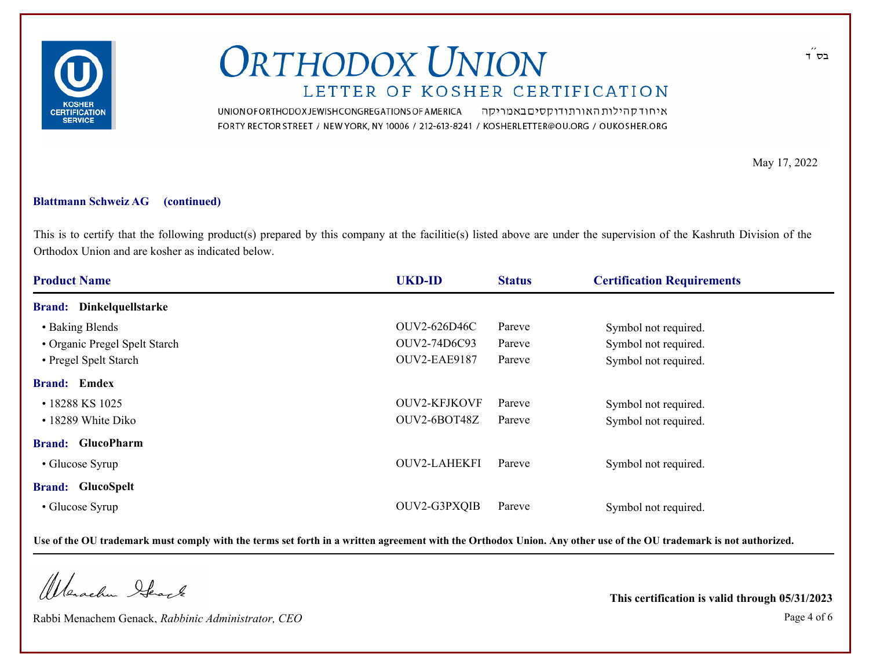

UNION OF ORTHODOX JEWISH CONGREGATIONS OF AMERICA איחוד קהילות האורתודוקסים באמריקה FORTY RECTOR STREET / NEW YORK, NY 10006 / 212-613-8241 / KOSHERLETTER@OU.ORG / OUKOSHER.ORG

May 17, 2022

#### **Blattmann Schweiz AG (continued)**

This is to certify that the following product(s) prepared by this company at the facilitie(s) listed above are under the supervision of the Kashruth Division of the Orthodox Union and are kosher as indicated below.

| <b>Product Name</b>             | <b>UKD-ID</b>       | <b>Status</b> | <b>Certification Requirements</b> |
|---------------------------------|---------------------|---------------|-----------------------------------|
| <b>Brand:</b> Dinkelquellstarke |                     |               |                                   |
| • Baking Blends                 | OUV2-626D46C        | Pareve        | Symbol not required.              |
| • Organic Pregel Spelt Starch   | OUV2-74D6C93        | Pareve        | Symbol not required.              |
| • Pregel Spelt Starch           | OUV2-EAE9187        | Pareve        | Symbol not required.              |
| <b>Brand:</b> Emdex             |                     |               |                                   |
| • 18288 KS 1025                 | <b>OUV2-KFJKOVF</b> | Pareve        | Symbol not required.              |
| • 18289 White Diko              | OUV2-6BOT48Z        | Pareve        | Symbol not required.              |
| <b>Brand:</b> GlucoPharm        |                     |               |                                   |
| • Glucose Syrup                 | <b>OUV2-LAHEKFI</b> | Pareve        | Symbol not required.              |
| <b>Brand:</b> GlucoSpelt        |                     |               |                                   |
| • Glucose Syrup                 | OUV2-G3PXQIB        | Pareve        | Symbol not required.              |

**Use of the OU trademark must comply with the terms set forth in a written agreement with the Orthodox Union. Any other use of the OU trademark is not authorized.**

Warachen Stack

Rabbi Menachem Genack, *Rabbinic Administrator, CEO* Page 4 of 6

**This certification is valid through 05/31/2023**

בס ד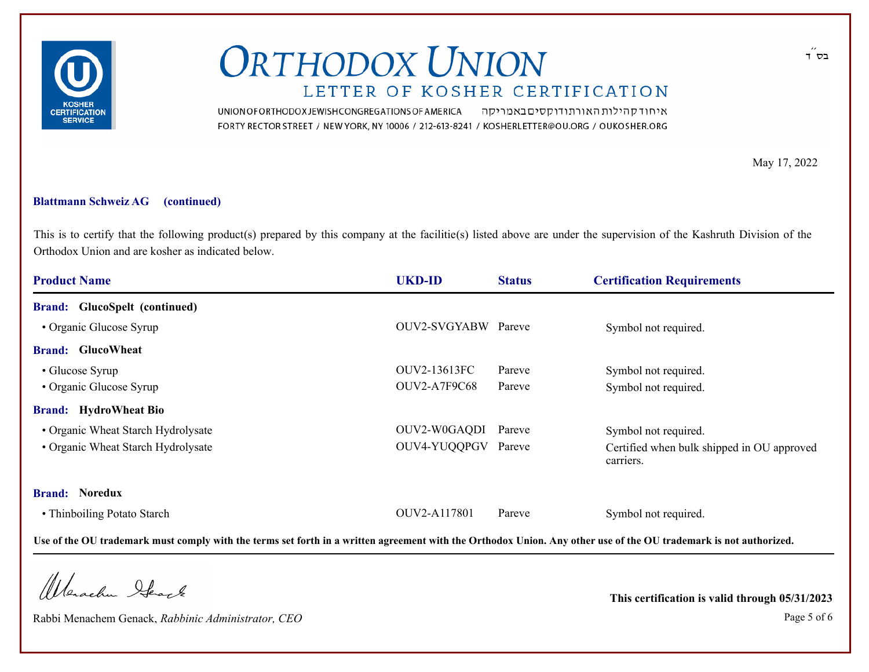

UNION OF ORTHODOX JEWISH CONGREGATIONS OF AMERICA איחוד קהילות האורתודוקסים באמריקה FORTY RECTOR STREET / NEW YORK, NY 10006 / 212-613-8241 / KOSHERLETTER@OU.ORG / OUKOSHER.ORG

May 17, 2022

#### **Blattmann Schweiz AG (continued)**

This is to certify that the following product(s) prepared by this company at the facilitie(s) listed above are under the supervision of the Kashruth Division of the Orthodox Union and are kosher as indicated below.

| <b>Product Name</b>                  | <b>UKD-ID</b>       | <b>Status</b> | <b>Certification Requirements</b>                       |
|--------------------------------------|---------------------|---------------|---------------------------------------------------------|
| <b>Brand:</b> GlucoSpelt (continued) |                     |               |                                                         |
| • Organic Glucose Syrup              | OUV2-SVGYABW Pareve |               | Symbol not required.                                    |
| <b>Brand:</b> GlucoWheat             |                     |               |                                                         |
| • Glucose Syrup                      | OUV2-13613FC        | Pareve        | Symbol not required.                                    |
| • Organic Glucose Syrup              | <b>OUV2-A7F9C68</b> | Pareve        | Symbol not required.                                    |
| <b>Brand:</b> HydroWheat Bio         |                     |               |                                                         |
| • Organic Wheat Starch Hydrolysate   | OUV2-W0GAQDI Pareve |               | Symbol not required.                                    |
| • Organic Wheat Starch Hydrolysate   | OUV4-YUQQPGV Pareve |               | Certified when bulk shipped in OU approved<br>carriers. |
| <b>Brand: Noredux</b>                |                     |               |                                                         |
| • Thinboiling Potato Starch          | OUV2-A117801        | Pareve        | Symbol not required.                                    |

**Use of the OU trademark must comply with the terms set forth in a written agreement with the Orthodox Union. Any other use of the OU trademark is not authorized.**

Warachen Stack

Rabbi Menachem Genack, *Rabbinic Administrator, CEO* Page 5 of 6

**This certification is valid through 05/31/2023**